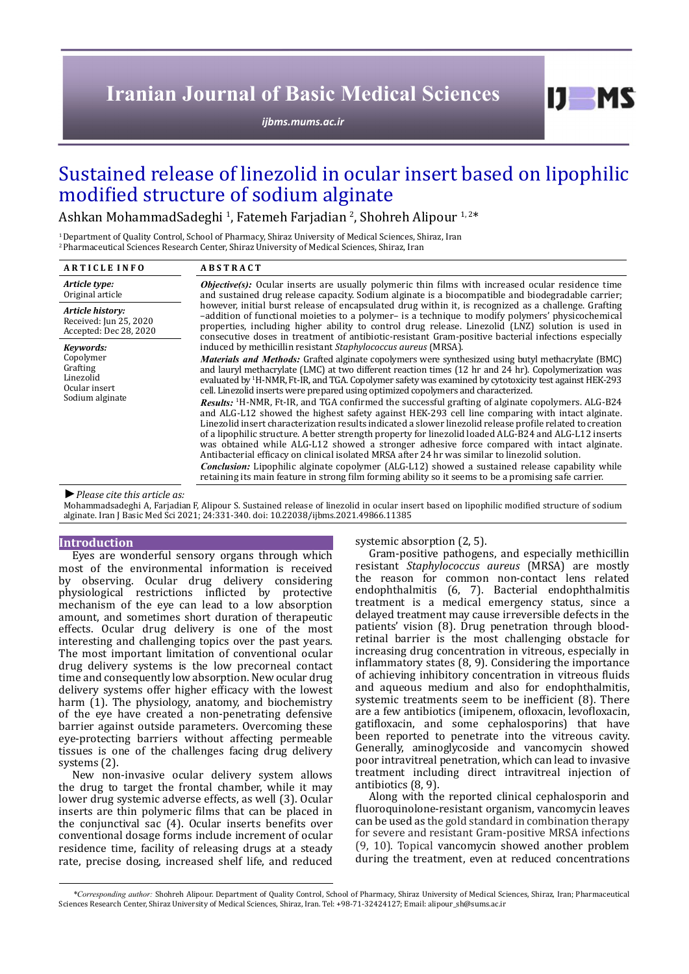# **Iranian Journal of Basic Medical Sciences**

*[ijbms.mums.ac.ir](http://ijbms.mums.ac.ir)*

# Sustained release of linezolid in ocular insert based on lipophilic modified structure of sodium alginate

Ashkan MohammadSadeghi <sup>1</sup>, Fatemeh Farjadian <sup>2</sup>, Shohreh Alipour <sup>1,2\*</sup>

1 Department of Quality Control, School of Pharmacy, Shiraz University of Medical Sciences, Shiraz, Iran 2 Pharmaceutical Sciences Research Center, Shiraz University of Medical Sciences, Shiraz, Iran

| <b>ARTICLE INFO</b>                                                                 | <b>ABSTRACT</b>                                                                                                                                                                                                                                                                                                                                                                                                                                                                                                                                                                                                                                                                                                                                                                                                                                                                                                                                                                                                                                                                                                                                                                                                                                                                                                                                             |  |
|-------------------------------------------------------------------------------------|-------------------------------------------------------------------------------------------------------------------------------------------------------------------------------------------------------------------------------------------------------------------------------------------------------------------------------------------------------------------------------------------------------------------------------------------------------------------------------------------------------------------------------------------------------------------------------------------------------------------------------------------------------------------------------------------------------------------------------------------------------------------------------------------------------------------------------------------------------------------------------------------------------------------------------------------------------------------------------------------------------------------------------------------------------------------------------------------------------------------------------------------------------------------------------------------------------------------------------------------------------------------------------------------------------------------------------------------------------------|--|
| Article type:<br>Original article                                                   | <b><i>Objective(s):</i></b> Ocular inserts are usually polymeric thin films with increased ocular residence time<br>and sustained drug release capacity. Sodium alginate is a biocompatible and biodegradable carrier;                                                                                                                                                                                                                                                                                                                                                                                                                                                                                                                                                                                                                                                                                                                                                                                                                                                                                                                                                                                                                                                                                                                                      |  |
| Article history:<br>Received: Jun 25, 2020<br>Accepted: Dec 28, 2020                | however, initial burst release of encapsulated drug within it, is recognized as a challenge. Grafting<br>-addition of functional moieties to a polymer- is a technique to modify polymers' physicochemical<br>properties, including higher ability to control drug release. Linezolid (LNZ) solution is used in<br>consecutive doses in treatment of antibiotic-resistant Gram-positive bacterial infections especially                                                                                                                                                                                                                                                                                                                                                                                                                                                                                                                                                                                                                                                                                                                                                                                                                                                                                                                                     |  |
| Kevwords:<br>Copolymer<br>Grafting<br>Linezolid<br>Ocular insert<br>Sodium alginate | induced by methicillin resistant Staphylococcus aureus (MRSA).<br>Materials and Methods: Grafted alginate copolymers were synthesized using butyl methacrylate (BMC)<br>and lauryl methacrylate (LMC) at two different reaction times (12 hr and 24 hr). Copolymerization was<br>evaluated by <sup>1</sup> H-NMR, Ft-IR, and TGA. Copolymer safety was examined by cytotoxicity test against HEK-293<br>cell. Linezolid inserts were prepared using optimized copolymers and characterized.<br>Results: <sup>1</sup> H-NMR, Ft-IR, and TGA confirmed the successful grafting of alginate copolymers. ALG-B24<br>and ALG-L12 showed the highest safety against HEK-293 cell line comparing with intact alginate.<br>Linezolid insert characterization results indicated a slower linezolid release profile related to creation<br>of a lipophilic structure. A better strength property for linezolid loaded ALG-B24 and ALG-L12 inserts<br>was obtained while ALG-L12 showed a stronger adhesive force compared with intact alginate.<br>Antibacterial efficacy on clinical isolated MRSA after 24 hr was similar to linezolid solution.<br><b>Conclusion:</b> Lipophilic alginate copolymer (ALG-L12) showed a sustained release capability while<br>retaining its main feature in strong film forming ability so it seems to be a promising safe carrier. |  |

*►Please cite this article as:*

Mohammadsadeghi A, Farjadian F, Alipour S. Sustained release of linezolid in ocular insert based on lipophilic modified structure of sodium alginate. Iran J Basic Med Sci 2021; 24:331-340. doi: 10.22038/ijbms.2021.49866.11385

#### **Introduction**

Eyes are wonderful sensory organs through which most of the environmental information is received by observing. Ocular drug delivery considering physiological restrictions inflicted by protective mechanism of the eye can lead to a low absorption amount, and sometimes short duration of therapeutic effects. Ocular drug delivery is one of the most interesting and challenging topics over the past years. The most important limitation of conventional ocular drug delivery systems is the low precorneal contact time and consequently low absorption. New ocular drug delivery systems offer higher efficacy with the lowest harm (1). The physiology, anatomy, and biochemistry of the eye have created a non-penetrating defensive barrier against outside parameters. Overcoming these eye-protecting barriers without affecting permeable tissues is one of the challenges facing drug delivery systems (2).

New non-invasive ocular delivery system allows the drug to target the frontal chamber, while it may lower drug systemic adverse effects, as well (3). Ocular inserts are thin polymeric films that can be placed in the conjunctival sac (4). Ocular inserts benefits over conventional dosage forms include increment of ocular residence time, facility of releasing drugs at a steady rate, precise dosing, increased shelf life, and reduced systemic absorption (2, 5).

Gram-positive pathogens, and especially methicillin resistant *Staphylococcus aureus* (MRSA) are mostly the reason for common non-contact lens related endophthalmitis (6, 7). Bacterial endophthalmitis treatment is a medical emergency status, since a delayed treatment may cause irreversible defects in the patients' vision (8). Drug penetration through bloodretinal barrier is the most challenging obstacle for increasing drug concentration in vitreous, especially in inflammatory states (8, 9). Considering the importance of achieving inhibitory concentration in vitreous fluids and aqueous medium and also for endophthalmitis, systemic treatments seem to be inefficient (8). There are a few antibiotics (imipenem, ofloxacin, levofloxacin, gatifloxacin, and some cephalosporins) that have been reported to penetrate into the vitreous cavity. Generally, aminoglycoside and vancomycin showed poor intravitreal penetration, which can lead to invasive treatment including direct intravitreal injection of antibiotics (8, 9).

 $I$   $I$   $M$   $S$ 

Along with the reported clinical cephalosporin and fluoroquinolone-resistant organism, vancomycin leaves can be used as the gold standard in combination therapy for severe and resistant Gram-positive MRSA infections (9, 10). Topical vancomycin showed another problem during the treatment, even at reduced concentrations

*\*Corresponding author:* Shohreh Alipour. Department of Quality Control, School of Pharmacy, Shiraz University of Medical Sciences, Shiraz, Iran; Pharmaceutical Sciences Research Center, Shiraz University of Medical Sciences, Shiraz, Iran. Tel: +98-71-32424127; Email: alipour\_sh@sums.ac.ir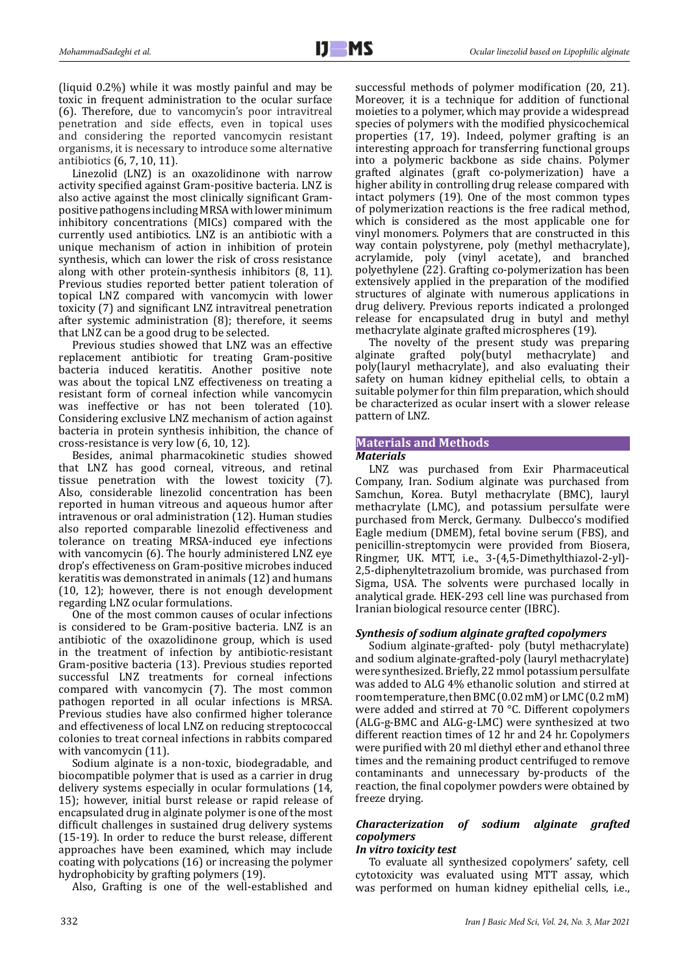(liquid 0.2%) while it was mostly painful and may be toxic in frequent administration to the ocular surface (6). Therefore, due to vancomycin's poor intravitreal penetration and side effects, even in topical uses and considering the reported vancomycin resistant organisms, it is necessary to introduce some alternative antibiotics (6, 7, 10, 11).

Linezolid (LNZ) is an oxazolidinone with narrow activity specified against Gram-positive bacteria. LNZ is also active against the most clinically significant Grampositive pathogens including MRSA withlower minimum inhibitory concentrations (MICs) compared with the currently used antibiotics. LNZ is an antibiotic with a unique mechanism of action in inhibition of protein synthesis, which can lower the risk of cross resistance along with other protein-synthesis inhibitors (8, 11). Previous studies reported better patient toleration of topical LNZ compared with vancomycin with lower toxicity (7) and significant LNZ intravitreal penetration after systemic administration (8); therefore, it seems that LNZ can be a good drug to be selected.

Previous studies showed that LNZ was an effective replacement antibiotic for treating Gram-positive bacteria induced keratitis. Another positive note was about the topical LNZ effectiveness on treating a resistant form of corneal infection while vancomycin was ineffective or has not been tolerated (10). Considering exclusive LNZ mechanism of action against bacteria in protein synthesis inhibition, the chance of cross-resistance is very low (6, 10, 12).

Besides, animal pharmacokinetic studies showed that LNZ has good corneal, vitreous, and retinal tissue penetration with the lowest toxicity (7). Also, considerable linezolid concentration has been reported in human vitreous and aqueous humor after intravenous or oral administration (12). Human studies also reported comparable linezolid effectiveness and tolerance on treating MRSA-induced eye infections with vancomycin (6). The hourly administered LNZ eye drop's effectiveness on Gram-positive microbes induced keratitis was demonstrated in animals (12) and humans (10, 12); however, there is not enough development regarding LNZ ocular formulations.

One of the most common causes of ocular infections is considered to be Gram-positive bacteria. LNZ is an antibiotic of the oxazolidinone group, which is used in the treatment of infection by antibiotic-resistant Gram-positive bacteria (13). Previous studies reported successful LNZ treatments for corneal infections compared with vancomycin (7). The most common pathogen reported in all ocular infections is MRSA. Previous studies have also confirmed higher tolerance and effectiveness of local LNZ on reducing streptococcal colonies to treat corneal infections in rabbits compared with vancomycin (11).

Sodium alginate is a non-toxic, biodegradable, and biocompatible polymer that is used as a carrier in drug delivery systems especially in ocular formulations (14, 15); however, initial burst release or rapid release of encapsulated drug in alginate polymer is one of the most difficult challenges in sustained drug delivery systems (15-19). In order to reduce the burst release, different approaches have been examined, which may include coating with polycations (16) or increasing the polymer hydrophobicity by grafting polymers (19).

Also, Grafting is one of the well-established and

successful methods of polymer modification (20, 21). Moreover, it is a technique for addition of functional moieties to a polymer, which may provide a widespread species of polymers with the modified physicochemical properties (17, 19). Indeed, polymer grafting is an interesting approach for transferring functional groups into a polymeric backbone as side chains. Polymer grafted alginates (graft co-polymerization) have a higher ability in controlling drug release compared with intact polymers (19). One of the most common types of polymerization reactions is the free radical method, which is considered as the most applicable one for vinyl monomers. Polymers that are constructed in this way contain polystyrene, poly (methyl methacrylate), acrylamide, poly (vinyl acetate), and branched polyethylene (22). Grafting co-polymerization has been extensively applied in the preparation of the modified structures of alginate with numerous applications in drug delivery. Previous reports indicated a prolonged release for encapsulated drug in butyl and methyl methacrylate alginate grafted microspheres (19).

The novelty of the present study was preparing<br>alginate grafted poly(butyl methacrylate) and alginate grafted poly(butyl methacrylate) and poly(lauryl methacrylate), and also evaluating their safety on human kidney epithelial cells, to obtain a suitable polymer for thin film preparation, which should be characterized as ocular insert with a slower release pattern of LNZ.

# **Materials and Methods**

# *Materials*

LNZ was purchased from Exir Pharmaceutical Company, Iran. Sodium alginate was purchased from Samchun, Korea. Butyl methacrylate (BMC), lauryl methacrylate (LMC), and potassium persulfate were purchased from Merck, Germany. Dulbecco's modified Eagle medium (DMEM), fetal bovine serum (FBS), and penicillin-streptomycin were provided from Biosera, Ringmer, UK. MTT, i.e., 3-(4,5-Dimethylthiazol-2-yl)- 2,5-diphenyltetrazolium bromide, was purchased from Sigma, USA. The solvents were purchased locally in analytical grade. HEK-293 cell line was purchased from Iranian biological resource center (IBRC).

# *Synthesis of sodium alginate grafted copolymers*

Sodium alginate-grafted- poly (butyl methacrylate) and sodium alginate-grafted-poly (lauryl methacrylate) were synthesized. Briefly, 22 mmol potassium persulfate was added to ALG 4% ethanolic solution and stirred at room temperature, then BMC (0.02 mM) or LMC (0.2 mM) were added and stirred at 70 °C. Different copolymers (ALG-g-BMC and ALG-g-LMC) were synthesized at two different reaction times of 12 hr and 24 hr. Copolymers were purified with 20 ml diethyl ether and ethanol three times and the remaining product centrifuged to remove contaminants and unnecessary by-products of the reaction, the final copolymer powders were obtained by freeze drying.

# *Characterization of sodium alginate grafted copolymers*

# *In vitro toxicity test*

To evaluate all synthesized copolymers' safety, cell cytotoxicity was evaluated using MTT assay, which was performed on human kidney epithelial cells, i.e.,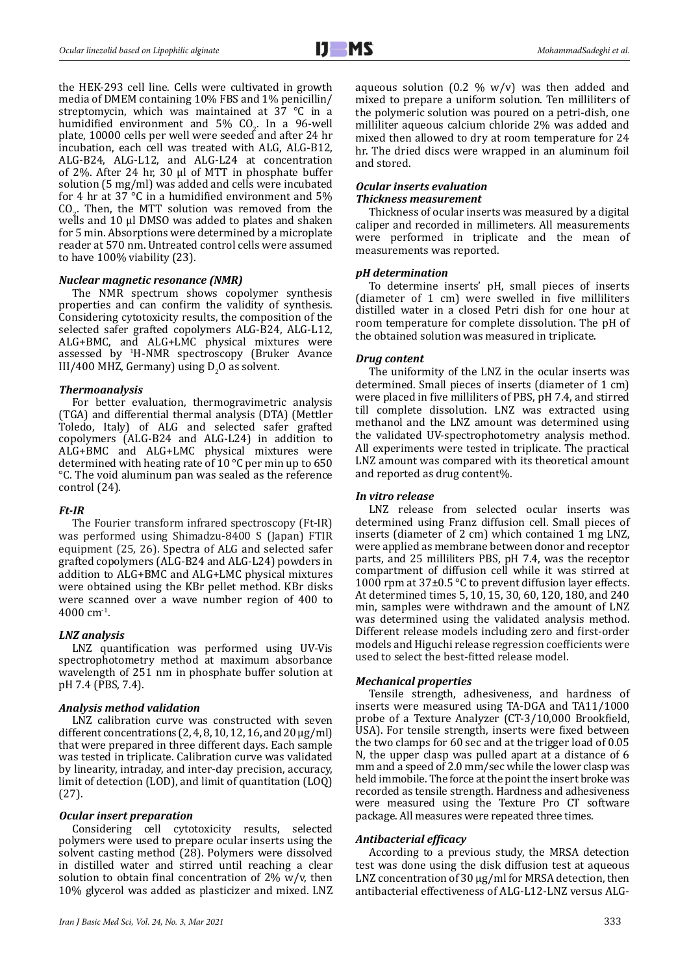the HEK-293 cell line. Cells were cultivated in growth media of DMEM containing 10% FBS and 1% penicillin/ streptomycin, which was maintained at 37 °C in a humidified environment and  $5\%$  CO<sub>2</sub>. In a 96-well plate, 10000 cells per well were seeded and after 24 hr incubation, each cell was treated with ALG, ALG-B12, ALG-B24, ALG-L12, and ALG-L24 at concentration of 2%. After 24 hr, 30 μl of MTT in phosphate buffer solution (5 mg/ml) was added and cells were incubated for 4 hr at 37 °C in a humidified environment and 5%  $\rm CO_{2}$ . Then, the MTT solution was removed from the wells and 10 μl DMSO was added to plates and shaken for 5 min. Absorptions were determined by a microplate reader at 570 nm. Untreated control cells were assumed to have 100% viability (23).

#### *Nuclear magnetic resonance (NMR)*

The NMR spectrum shows copolymer synthesis properties and can confirm the validity of synthesis. Considering cytotoxicity results, the composition of the selected safer grafted copolymers ALG-B24, ALG-L12, ALG+BMC, and ALG+LMC physical mixtures were assessed by <sup>1</sup> H-NMR spectroscopy (Bruker Avance  $III/400$  MHZ, Germany) using  $D_2O$  as solvent.

#### *Thermoanalysis*

For better evaluation, thermogravimetric analysis (TGA) and differential thermal analysis (DTA) (Mettler Toledo, Italy) of ALG and selected safer grafted copolymers (ALG-B24 and ALG-L24) in addition to ALG+BMC and ALG+LMC physical mixtures were determined with heating rate of 10 °C per min up to 650 °C. The void aluminum pan was sealed as the reference control (24).

## *Ft-IR*

The Fourier transform infrared spectroscopy (Ft-IR) was performed using Shimadzu-8400 S (Japan) FTIR equipment (25, 26). Spectra of ALG and selected safer grafted copolymers (ALG-B24 and ALG-L24) powders in addition to ALG+BMC and ALG+LMC physical mixtures were obtained using the KBr pellet method. KBr disks were scanned over a wave number region of 400 to 4000 cm-1.

#### *LNZ analysis*

LNZ quantification was performed using UV-Vis spectrophotometry method at maximum absorbance wavelength of 251 nm in phosphate buffer solution at pH 7.4 (PBS, 7.4).

#### *Analysis method validation*

LNZ calibration curve was constructed with seven different concentrations  $(2, 4, 8, 10, 12, 16,$  and  $20 \mu g/ml$ that were prepared in three different days. Each sample was tested in triplicate. Calibration curve was validated by linearity, intraday, and inter-day precision, accuracy, limit of detection (LOD), and limit of quantitation (LOQ) (27).

#### *Ocular insert preparation*

Considering cell cytotoxicity results, selected polymers were used to prepare ocular inserts using the solvent casting method (28). Polymers were dissolved in distilled water and stirred until reaching a clear solution to obtain final concentration of  $2\%$  w/v, then 10% glycerol was added as plasticizer and mixed. LNZ aqueous solution  $(0.2 \, % \, w/v)$  was then added and mixed to prepare a uniform solution. Ten milliliters of the polymeric solution was poured on a petri-dish, one milliliter aqueous calcium chloride 2% was added and mixed then allowed to dry at room temperature for 24 hr. The dried discs were wrapped in an aluminum foil and stored.

#### *Ocular inserts evaluation Thickness measurement*

Thickness of ocular inserts was measured by a digital caliper and recorded in millimeters. All measurements were performed in triplicate and the mean of measurements was reported.

#### *pH determination*

To determine inserts' pH, small pieces of inserts (diameter of 1 cm) were swelled in five milliliters distilled water in a closed Petri dish for one hour at room temperature for complete dissolution. The pH of the obtained solution was measured in triplicate.

#### *Drug content*

The uniformity of the LNZ in the ocular inserts was determined. Small pieces of inserts (diameter of 1 cm) were placed in five milliliters of PBS, pH 7.4, and stirred till complete dissolution. LNZ was extracted using methanol and the LNZ amount was determined using the validated UV-spectrophotometry analysis method. All experiments were tested in triplicate. The practical LNZ amount was compared with its theoretical amount and reported as drug content%.

#### *In vitro release*

LNZ release from selected ocular inserts was determined using Franz diffusion cell. Small pieces of inserts (diameter of 2 cm) which contained 1 mg LNZ, were applied as membrane between donor and receptor parts, and 25 milliliters PBS, pH 7.4, was the receptor compartment of diffusion cell while it was stirred at 1000 rpm at  $37\pm0.5$  °C to prevent diffusion layer effects. At determined times 5, 10, 15, 30, 60, 120, 180, and 240 min, samples were withdrawn and the amount of LNZ was determined using the validated analysis method. Different release models including zero and first-order models and Higuchi release regression coefficients were used to select the best-fitted release model.

#### *Mechanical properties*

Tensile strength, adhesiveness, and hardness of inserts were measured using TA-DGA and TA11/1000 probe of a Texture Analyzer (CT-3/10,000 Brookfield, USA). For tensile strength, inserts were fixed between the two clamps for 60 sec and at the trigger load of 0.05 N, the upper clasp was pulled apart at a distance of 6 mm and a speed of 2.0 mm/sec while the lower clasp was held immobile. The force at the point the insert broke was recorded as tensile strength. Hardness and adhesiveness were measured using the Texture Pro CT software package. All measures were repeated three times.

#### *Antibacterial efficacy*

According to a previous study, the MRSA detection test was done using the disk diffusion test at aqueous LNZ concentration of 30 µg/ml for MRSA detection, then antibacterial effectiveness of ALG-L12-LNZ versus ALG-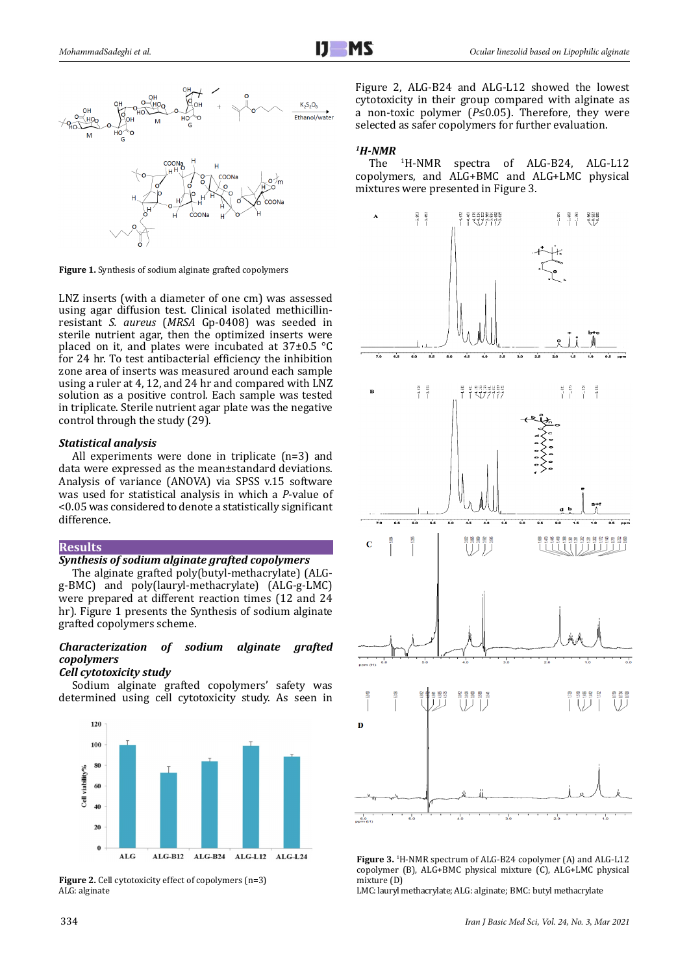

**Figure 1.** Synthesis of sodium alginate grafted copolymers

LNZ inserts (with a diameter of one cm) was assessed using agar diffusion test. Clinical isolated methicillinresistant *S. aureus* (*MRSA* Gp-0408) was seeded in sterile nutrient agar, then the optimized inserts were placed on it, and plates were incubated at 37±0.5 °C for 24 hr. To test antibacterial efficiency the inhibition zone area of inserts was measured around each sample using a ruler at 4, 12, and 24 hr and compared with LNZ solution as a positive control. Each sample was tested in triplicate. Sterile nutrient agar plate was the negative control through the study (29).

## *Statistical analysis*

All experiments were done in triplicate (n=3) and data were expressed as the mean±standard deviations. Analysis of variance (ANOVA) via SPSS v.15 software was used for statistical analysis in which a *P*-value of <0.05 was considered to denote a statistically significant difference.

#### **Results**

## *Synthesis of sodium alginate grafted copolymers*

The alginate grafted poly(butyl-methacrylate) (ALGg-BMC) and poly(lauryl-methacrylate) (ALG-g-LMC) were prepared at different reaction times (12 and 24 hr). Figure 1 presents the Synthesis of sodium alginate grafted copolymers scheme.

## *Characterization of sodium alginate grafted copolymers*

#### *Cell cytotoxicity study*

Sodium alginate grafted copolymers' safety was determined using cell cytotoxicity study. As seen in



Figure 2. Cell cytotoxicity effect of copolymers (n=3) ALG: alginate

Figure 2, ALG-B24 and ALG-L12 showed the lowest cytotoxicity in their group compared with alginate as a non-toxic polymer (*P*≤0.05). Therefore, they were selected as safer copolymers for further evaluation.

#### *1H-NMR*

The <sup>1</sup> <sup>1</sup>H-NMR spectra of ALG-B24, ALG-L12 copolymers, and ALG+BMC and ALG+LMC physical mixtures were presented in Figure 3.



**Figure 3.** <sup>1</sup> H-NMR spectrum of ALG-B24 copolymer (A) and ALG-L12 copolymer (B), ALG+BMC physical mixture (C), ALG+LMC physical mixture (D)

LMC: lauryl methacrylate; ALG: alginate; BMC: butyl methacrylate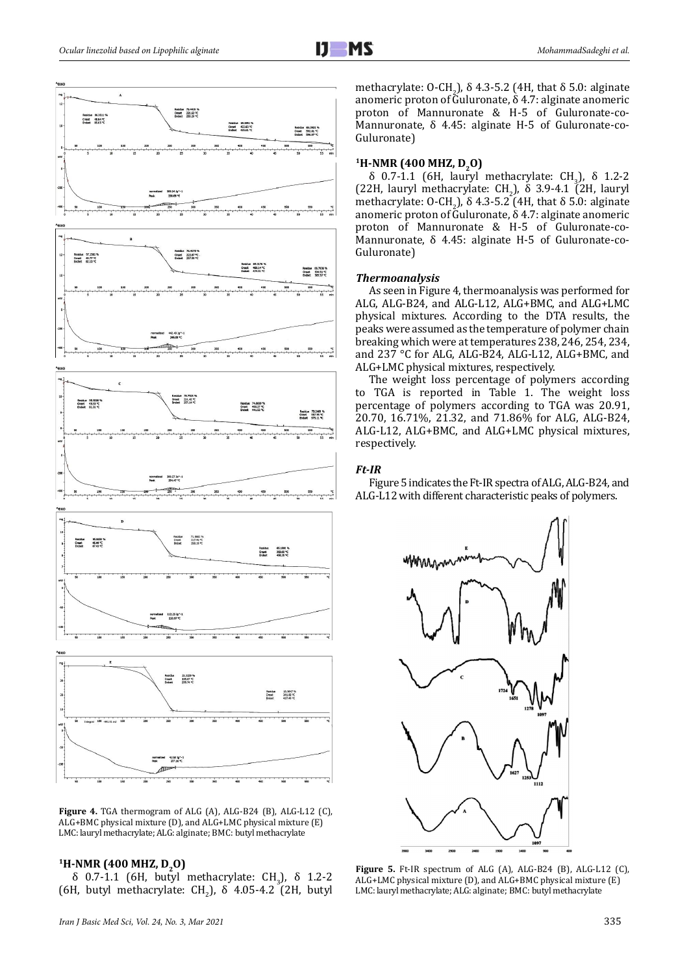

**Figure 4.** TGA thermogram of ALG (A), ALG-B24 (B), ALG-L12 (C), ALG+BMC physical mixture (D), and ALG+LMC physical mixture (E) LMC: lauryl methacrylate; ALG: alginate; BMC: butyl methacrylate

#### <sup>1</sup>H-NMR (400 MHZ, D<sub>2</sub>O)

δ 0.7-1.1 (6H, butyl methacrylate: CH<sub>3</sub>), δ 1.2-2 (6H, butyl methacrylate:  $CH<sub>2</sub>$ ),  $\delta$  4.05-4.2 (2H, butyl methacrylate:  $U\text{-CH}_2$ ),  $\delta$  4.3-5.2 (4H, that  $\delta$  5.0: alginate anomeric proton of Guluronate, δ 4.7: alginate anomeric proton of Mannuronate & H-5 of Guluronate-co-Mannuronate, δ 4.45: alginate H-5 of Guluronate-co-Guluronate)

#### <sup>1</sup>H-NMR (400 MHZ, D<sub>2</sub>O)

δ 0.7-1.1 (6H, lauryl methacrylate: CH<sub>3</sub>), δ 1.2-2 (22H, lauryl methacrylate:  $CH<sub>2</sub>$ ),  $\delta$  3.9-4.1 (2H, lauryl methacrylate:  $U\text{-CH}_2$ ),  $\delta$  4.3-5.2 (4H, that  $\delta$  5.0: alginate anomeric proton of Guluronate,  $\delta$  4.7: alginate anomeric proton of Mannuronate & H-5 of Guluronate-co-Mannuronate, δ 4.45: alginate H-5 of Guluronate-co-Guluronate)

#### *Thermoanalysis*

As seen in Figure 4, thermoanalysis was performed for ALG, ALG-B24, and ALG-L12, ALG+BMC, and ALG+LMC physical mixtures. According to the DTA results, the peaks were assumed as the temperature of polymer chain breaking which were at temperatures 238, 246, 254, 234, and 237 °C for ALG, ALG-B24, ALG-L12, ALG+BMC, and ALG+LMC physical mixtures, respectively.

The weight loss percentage of polymers according to TGA is reported in Table 1. The weight loss percentage of polymers according to TGA was 20.91, 20.70, 16.71%, 21.32, and 71.86% for ALG, ALG-B24, ALG-L12, ALG+BMC, and ALG+LMC physical mixtures, respectively.

#### *Ft-IR*

Figure 5 indicates the Ft-IR spectra of ALG, ALG-B24, and ALG-L12 with different characteristic peaks of polymers.



**Figure 5.** Ft-IR spectrum of ALG (A), ALG-B24 (B), ALG-L12 (C), ALG+LMC physical mixture (D), and ALG+BMC physical mixture (E) LMC: lauryl methacrylate; ALG: alginate; BMC: butyl methacrylate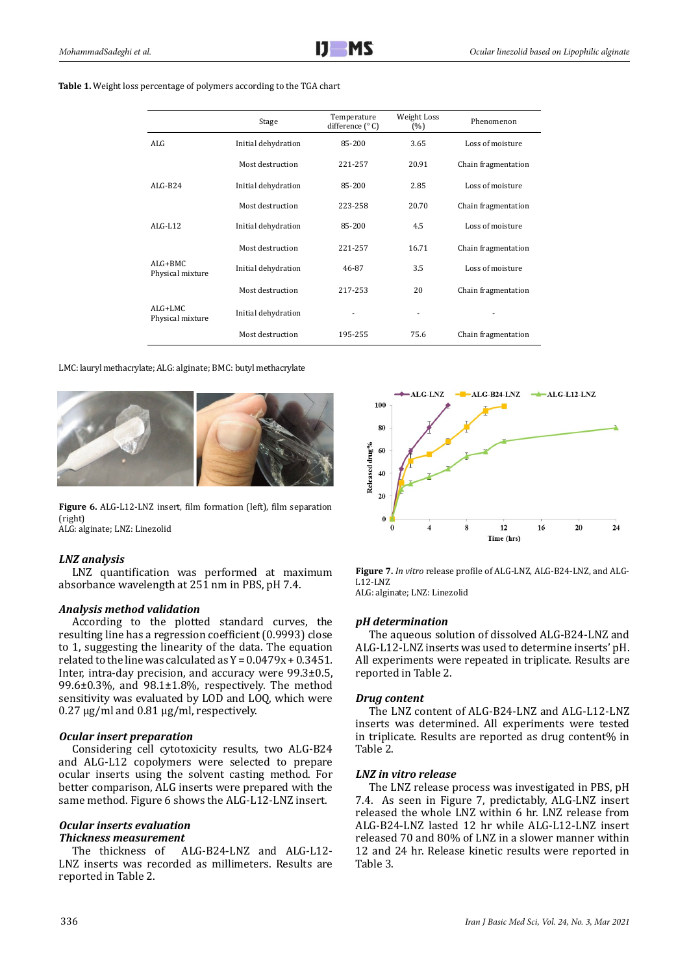#### **Table 1.** Weight loss percentage of polymers according to the TGA chart

|                                | Stage               | Temperature<br>difference $(^\circ C)$ | Weight Loss<br>(%) | Phenomenon          |
|--------------------------------|---------------------|----------------------------------------|--------------------|---------------------|
| AI.G                           | Initial dehydration | 85-200                                 | 3.65               | Loss of moisture    |
|                                | Most destruction    | 221-257                                | 20.91              | Chain fragmentation |
| $AI.G-B24$                     | Initial dehydration | 85-200                                 | 2.85               | Loss of moisture    |
|                                | Most destruction    | 223-258                                | 20.70              | Chain fragmentation |
| $AI.G-I.12$                    | Initial dehydration | 85-200                                 | 4.5                | Loss of moisture    |
|                                | Most destruction    | 221-257                                | 16.71              | Chain fragmentation |
| $AI.G+BMC$<br>Physical mixture | Initial dehydration | 46-87                                  | 3.5                | Loss of moisture    |
|                                | Most destruction    | 217-253                                | 20                 | Chain fragmentation |
| ALG+LMC<br>Physical mixture    | Initial dehydration |                                        |                    |                     |
|                                | Most destruction    | 195-255                                | 75.6               | Chain fragmentation |

#### LMC: lauryl methacrylate; ALG: alginate; BMC: butyl methacrylate



**Figure 6.** ALG-L12-LNZ insert, film formation (left), film separation (right)

ALG: alginate; LNZ: Linezolid

# *LNZ analysis*

LNZ quantification was performed at maximum absorbance wavelength at 251 nm in PBS, pH 7.4.

## *Analysis method validation*

According to the plotted standard curves, the resulting line has a regression coefficient (0.9993) close to 1, suggesting the linearity of the data. The equation related to the line was calculated as Y = 0.0479x + 0.3451*.*  Inter, intra-day precision, and accuracy were 99.3±0.5, 99.6±0.3%, and 98.1±1.8%, respectively. The method sensitivity was evaluated by LOD and LOQ, which were  $0.27 \,\mathrm{\upmu g/ml}$  and  $0.81 \,\mathrm{\upmu g/ml}$ , respectively.

## *Ocular insert preparation*

Considering cell cytotoxicity results, two ALG-B24 and ALG-L12 copolymers were selected to prepare ocular inserts using the solvent casting method. For better comparison, ALG inserts were prepared with the same method. Figure 6 shows the ALG-L12-LNZ insert.

# *Ocular inserts evaluation*

## *Thickness measurement*

The thickness of ALG-B24-LNZ and ALG-L12- LNZ inserts was recorded as millimeters. Results are reported in Table 2.



**Figure 7.** *In vitro* release profile of ALG-LNZ, ALG-B24-LNZ, and ALG-L12-LNZ ALG: alginate; LNZ: Linezolid

## *pH determination*

The aqueous solution of dissolved ALG-B24-LNZ and ALG-L12-LNZ inserts was used to determine inserts' pH. All experiments were repeated in triplicate. Results are reported in Table 2.

## *Drug content*

The LNZ content of ALG-B24-LNZ and ALG-L12-LNZ inserts was determined. All experiments were tested in triplicate. Results are reported as drug content% in Table 2.

#### *LNZ in vitro release*

The LNZ release process was investigated in PBS, pH 7.4. As seen in Figure 7, predictably, ALG-LNZ insert released the whole LNZ within 6 hr. LNZ release from ALG-B24-LNZ lasted 12 hr while ALG-L12-LNZ insert released 70 and 80% of LNZ in a slower manner within 12 and 24 hr. Release kinetic results were reported in Table 3.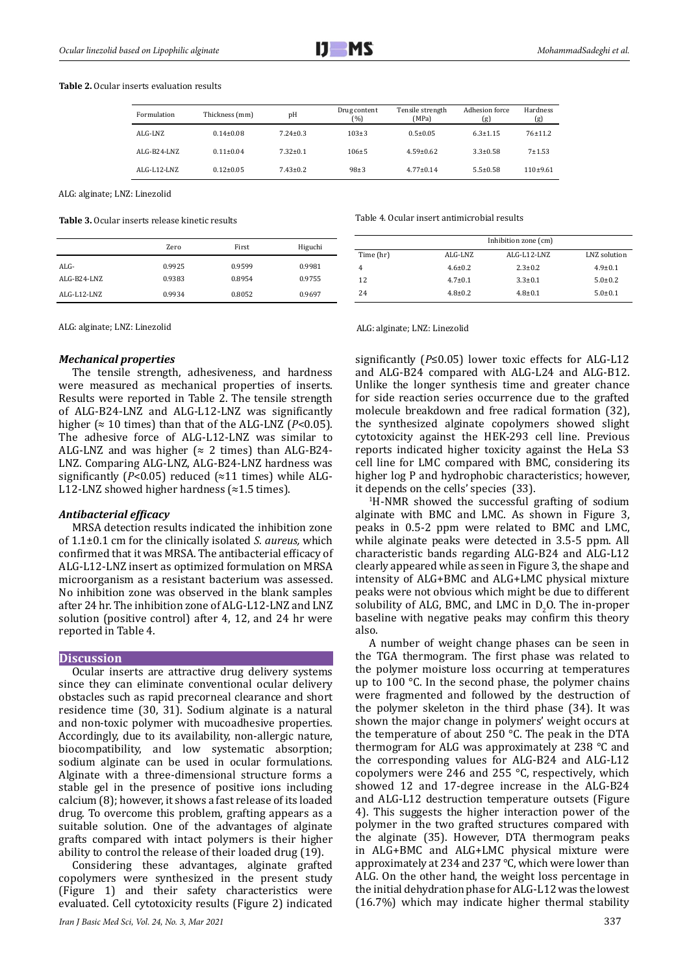

#### **Table 2.** Ocular inserts evaluation results

| Formulation | Thickness (mm)  | pН             | Drug content<br>$(\%)$ | Tensile strength<br>(MPa) | Adhesion force<br>(g) | Hardness<br>(g) |
|-------------|-----------------|----------------|------------------------|---------------------------|-----------------------|-----------------|
| $AI.G-I.NZ$ | $0.14 \pm 0.08$ | $7.24 \pm 0.3$ | $103+3$                | $0.5 \pm 0.05$            | $6.3 \pm 1.15$        | 76±11.2         |
| ALG-B24-LNZ | $0.11 \pm 0.04$ | $7.32 \pm 0.1$ | $106 + 5$              | $4.59 \pm 0.62$           | $3.3 \pm 0.58$        | $7 + 1.53$      |
| ALG-L12-LNZ | $0.12 \pm 0.05$ | $7.43 \pm 0.2$ | $98+3$                 | $4.77 \pm 0.14$           | $5.5 \pm 0.58$        | $110+9.61$      |

ALG: alginate; LNZ: Linezolid

**Table 3.** Ocular inserts release kinetic results

|                        | Zero             | First            | Higuchi          |
|------------------------|------------------|------------------|------------------|
| $AI.G-$<br>ALG-B24-LNZ | 0.9925<br>0.9383 | 0.9599<br>0.8954 | 0.9981<br>0.9755 |
| ALG-L12-LNZ            | 0.9934           | 0.8052           | 0.9697           |

ALG: alginate; LNZ: Linezolid ALG: alginate; LNZ: Linezolid

#### *Mechanical properties*

The tensile strength, adhesiveness, and hardness were measured as mechanical properties of inserts. Results were reported in Table 2. The tensile strength of ALG-B24-LNZ and ALG-L12-LNZ was significantly higher ( $\approx 10$  times) than that of the ALG-LNZ ( $P < 0.05$ ). The adhesive force of ALG-L12-LNZ was similar to ALG-LNZ and was higher ( $\approx$  2 times) than ALG-B24-LNZ. Comparing ALG-LNZ, ALG-B24-LNZ hardness was significantly ( $P < 0.05$ ) reduced ( $\approx$ 11 times) while ALG-L12-LNZ showed higher hardness (≈1.5 times).

#### *Antibacterial efficacy*

MRSA detection results indicated the inhibition zone of 1.1±0.1 cm for the clinically isolated *S. aureus,* which confirmed that it was MRSA. The antibacterial efficacy of ALG-L12-LNZ insert as optimized formulation on MRSA microorganism as a resistant bacterium was assessed. No inhibition zone was observed in the blank samples after 24 hr. The inhibition zone of ALG-L12-LNZ and LNZ solution (positive control) after 4, 12, and 24 hr were reported in Table 4.

#### **Discussion**

Ocular inserts are attractive drug delivery systems since they can eliminate conventional ocular delivery obstacles such as rapid precorneal clearance and short residence time (30, 31). Sodium alginate is a natural and non-toxic polymer with mucoadhesive properties. Accordingly, due to its availability, non-allergic nature, biocompatibility, and low systematic absorption; sodium alginate can be used in ocular formulations. Alginate with a three-dimensional structure forms a stable gel in the presence of positive ions including calcium (8); however, it shows a fast release of its loaded drug. To overcome this problem, grafting appears as a suitable solution. One of the advantages of alginate grafts compared with intact polymers is their higher ability to control the release of their loaded drug (19).

Considering these advantages, alginate grafted copolymers were synthesized in the present study (Figure 1) and their safety characteristics were evaluated. Cell cytotoxicity results (Figure 2) indicated Table 4. Ocular insert antimicrobial results

|           | Inhibition zone (cm) |               |               |  |
|-----------|----------------------|---------------|---------------|--|
| Time (hr) | ALG-LNZ              | ALG-L12-LNZ   | LNZ solution  |  |
|           | $4.6 \pm 0.2$        | $2.3 \pm 0.2$ | $4.9 \pm 0.1$ |  |
| 12        | $4.7 \pm 0.1$        | $3.3 \pm 0.1$ | $5.0 \pm 0.2$ |  |
| 24        | $4.8 \pm 0.2$        | $4.8 \pm 0.1$ | $5.0{\pm}0.1$ |  |

significantly (*P*≤0.05) lower toxic effects for ALG-L12 and ALG-B24 compared with ALG-L24 and ALG-B12. Unlike the longer synthesis time and greater chance for side reaction series occurrence due to the grafted molecule breakdown and free radical formation (32), the synthesized alginate copolymers showed slight cytotoxicity against the HEK-293 cell line. Previous reports indicated higher toxicity against the HeLa S3 cell line for LMC compared with BMC, considering its higher log P and hydrophobic characteristics; however, it depends on the cells' species (33).

1 H-NMR showed the successful grafting of sodium alginate with BMC and LMC. As shown in Figure 3, peaks in 0.5-2 ppm were related to BMC and LMC, while alginate peaks were detected in 3.5-5 ppm. All characteristic bands regarding ALG-B24 and ALG-L12 clearly appeared while as seen in Figure 3, the shape and intensity of ALG+BMC and ALG+LMC physical mixture peaks were not obvious which might be due to different solubility of ALG, BMC, and LMC in  $D_2O$ . The in-proper baseline with negative peaks may confirm this theory also.

A number of weight change phases can be seen in the TGA thermogram. The first phase was related to the polymer moisture loss occurring at temperatures up to 100 °C. In the second phase, the polymer chains were fragmented and followed by the destruction of the polymer skeleton in the third phase (34). It was shown the major change in polymers' weight occurs at the temperature of about 250 °C. The peak in the DTA thermogram for ALG was approximately at 238 °C and the corresponding values for ALG-B24 and ALG-L12 copolymers were 246 and 255 °C, respectively, which showed 12 and 17-degree increase in the ALG-B24 and ALG-L12 destruction temperature outsets (Figure 4). This suggests the higher interaction power of the polymer in the two grafted structures compared with the alginate (35). However, DTA thermogram peaks in ALG+BMC and ALG+LMC physical mixture were approximately at 234 and 237 °C, which were lower than ALG. On the other hand, the weight loss percentage in the initial dehydration phase for ALG-L12 was the lowest (16.7%) which may indicate higher thermal stability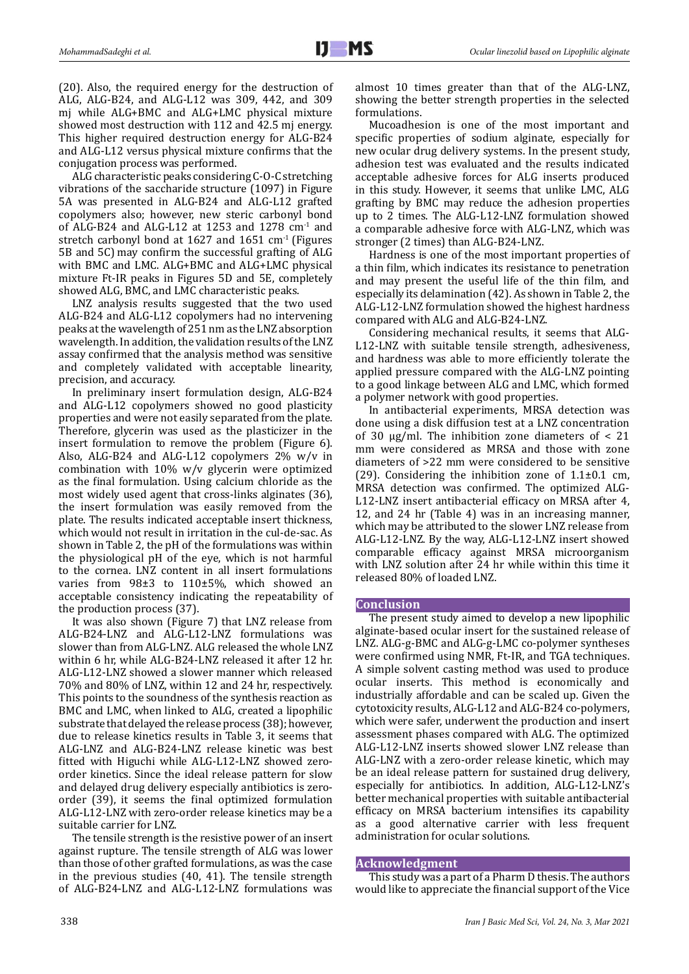(20). Also, the required energy for the destruction of ALG, ALG-B24, and ALG-L12 was 309, 442, and 309 mj while ALG+BMC and ALG+LMC physical mixture showed most destruction with 112 and 42.5 mj energy. This higher required destruction energy for ALG-B24 and ALG-L12 versus physical mixture confirms that the conjugation process was performed.

ALG characteristic peaks considering C-O-C stretching vibrations of the saccharide structure (1097) in Figure 5A was presented in ALG-B24 and ALG-L12 grafted copolymers also; however, new steric carbonyl bond of ALG-B24 and ALG-L12 at 1253 and 1278 cm-1 and stretch carbonyl bond at  $1627$  and  $1651$  cm<sup>-1</sup> (Figures 5B and 5C) may confirm the successful grafting of ALG with BMC and LMC. ALG+BMC and ALG+LMC physical mixture Ft-IR peaks in Figures 5D and 5E, completely showed ALG, BMC, and LMC characteristic peaks.

LNZ analysis results suggested that the two used ALG-B24 and ALG-L12 copolymers had no intervening peaks at the wavelength of 251 nm as the LNZ absorption wavelength. In addition, the validation results of the LNZ assay confirmed that the analysis method was sensitive and completely validated with acceptable linearity, precision, and accuracy.

In preliminary insert formulation design, ALG-B24 and ALG-L12 copolymers showed no good plasticity properties and were not easily separated from the plate. Therefore, glycerin was used as the plasticizer in the insert formulation to remove the problem (Figure 6). Also, ALG-B24 and ALG-L12 copolymers 2% w/v in combination with 10% w/v glycerin were optimized as the final formulation. Using calcium chloride as the most widely used agent that cross-links alginates (36), the insert formulation was easily removed from the plate. The results indicated acceptable insert thickness, which would not result in irritation in the cul-de-sac. As shown in Table 2, the pH of the formulations was within the physiological pH of the eye, which is not harmful to the cornea. LNZ content in all insert formulations varies from 98±3 to 110±5%, which showed an acceptable consistency indicating the repeatability of the production process (37).

It was also shown (Figure 7) that LNZ release from ALG-B24-LNZ and ALG-L12-LNZ formulations was slower than from ALG-LNZ. ALG released the whole LNZ within 6 hr, while ALG-B24-LNZ released it after 12 hr. ALG-L12-LNZ showed a slower manner which released 70% and 80% of LNZ, within 12 and 24 hr, respectively. This points to the soundness of the synthesis reaction as BMC and LMC, when linked to ALG, created a lipophilic substrate that delayed the release process (38); however, due to release kinetics results in Table 3, it seems that ALG-LNZ and ALG-B24-LNZ release kinetic was best fitted with Higuchi while ALG-L12-LNZ showed zeroorder kinetics. Since the ideal release pattern for slow and delayed drug delivery especially antibiotics is zeroorder (39), it seems the final optimized formulation ALG-L12-LNZ with zero-order release kinetics may be a suitable carrier for LNZ.

The tensile strength is the resistive power of an insert against rupture. The tensile strength of ALG was lower than those of other grafted formulations, as was the case in the previous studies (40, 41). The tensile strength of ALG-B24-LNZ and ALG-L12-LNZ formulations was

almost 10 times greater than that of the ALG-LNZ, showing the better strength properties in the selected formulations.

Mucoadhesion is one of the most important and specific properties of sodium alginate, especially for new ocular drug delivery systems. In the present study, adhesion test was evaluated and the results indicated acceptable adhesive forces for ALG inserts produced in this study. However, it seems that unlike LMC, ALG grafting by BMC may reduce the adhesion properties up to 2 times. The ALG-L12-LNZ formulation showed a comparable adhesive force with ALG-LNZ, which was stronger (2 times) than ALG-B24-LNZ.

Hardness is one of the most important properties of a thin film, which indicates its resistance to penetration and may present the useful life of the thin film, and especially its delamination (42). As shown in Table 2, the ALG-L12-LNZ formulation showed the highest hardness compared with ALG and ALG-B24-LNZ.

Considering mechanical results, it seems that ALG-L12-LNZ with suitable tensile strength, adhesiveness, and hardness was able to more efficiently tolerate the applied pressure compared with the ALG-LNZ pointing to a good linkage between ALG and LMC, which formed a polymer network with good properties.

In antibacterial experiments, MRSA detection was done using a disk diffusion test at a LNZ concentration of 30  $\mu$ g/ml. The inhibition zone diameters of < 21 mm were considered as MRSA and those with zone diameters of >22 mm were considered to be sensitive (29). Considering the inhibition zone of  $1.1\pm0.1$  cm, MRSA detection was confirmed. The optimized ALG-L12-LNZ insert antibacterial efficacy on MRSA after 4, 12, and 24 hr (Table 4) was in an increasing manner, which may be attributed to the slower LNZ release from ALG-L12-LNZ. By the way, ALG-L12-LNZ insert showed comparable efficacy against MRSA microorganism with LNZ solution after 24 hr while within this time it released 80% of loaded LNZ.

## **Conclusion**

The present study aimed to develop a new lipophilic alginate-based ocular insert for the sustained release of LNZ. ALG-g-BMC and ALG-g-LMC co-polymer syntheses were confirmed using NMR, Ft-IR, and TGA techniques. A simple solvent casting method was used to produce ocular inserts. This method is economically and industrially affordable and can be scaled up. Given the cytotoxicity results, ALG-L12 and ALG-B24 co-polymers, which were safer, underwent the production and insert assessment phases compared with ALG. The optimized ALG-L12-LNZ inserts showed slower LNZ release than ALG-LNZ with a zero-order release kinetic, which may be an ideal release pattern for sustained drug delivery, especially for antibiotics. In addition, ALG-L12-LNZ's better mechanical properties with suitable antibacterial efficacy on MRSA bacterium intensifies its capability as a good alternative carrier with less frequent administration for ocular solutions.

#### **Acknowledgment**

This study was a part of a Pharm D thesis. The authors would like to appreciate the financial support of the Vice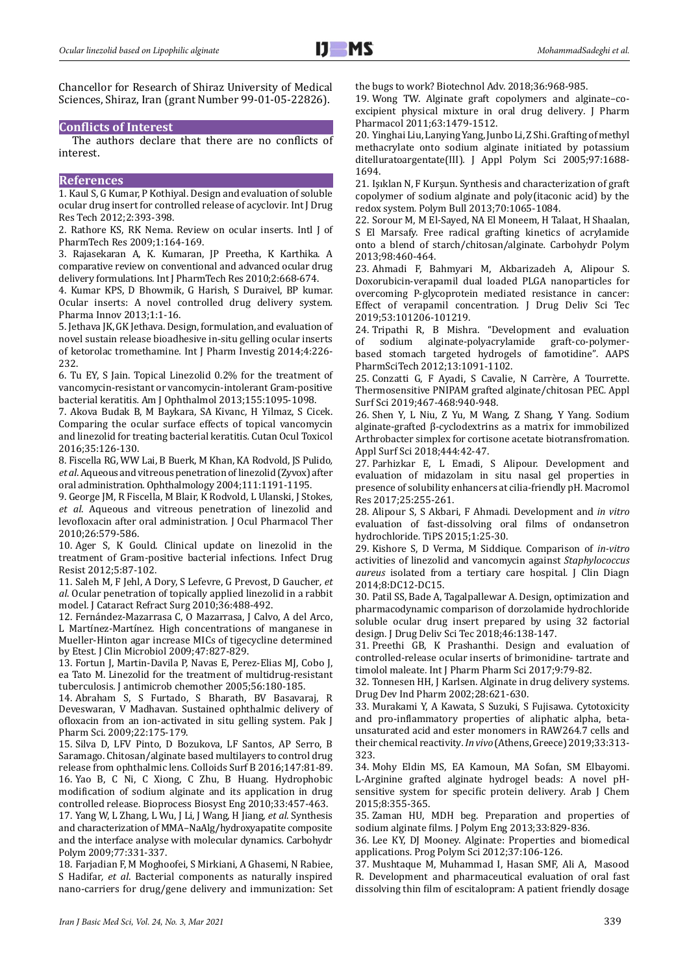Chancellor for Research of Shiraz University of Medical Sciences, Shiraz, Iran (grant Number 99-01-05-22826).

## **Conflicts of Interest**

The authors declare that there are no conflicts of interest.

#### **References**

1. Kaul S, G Kumar, P Kothiyal. Design and evaluation of soluble ocular drug insert for controlled release of acyclovir*.* Int J Drug Res Tech 2012;2:393-398.

2. Rathore KS, RK Nema. Review on ocular inserts*.* Intl J of PharmTech Res 2009;1:164-169.

3. Rajasekaran A, K. Kumaran, JP Preetha, K Karthika. A comparative review on conventional and advanced ocular drug delivery formulations*.* Int J PharmTech Res 2010;2:668-674.

4. Kumar KPS, D Bhowmik, G Harish, S Duraivel, BP kumar. Ocular inserts: A novel controlled drug delivery system*.* Pharma Innov 2013;1:1-16.

5. Jethava JK, GK Jethava. Design, formulation, and evaluation of novel sustain release bioadhesive in-situ gelling ocular inserts of ketorolac tromethamine*.* Int J Pharm Investig 2014;4:226- 232.

6. Tu EY, S Jain. Topical Linezolid 0.2% for the treatment of vancomycin-resistant or vancomycin-intolerant Gram-positive bacterial keratitis*.* Am J Ophthalmol 2013;155:1095-1098.

7. Akova Budak B, M Baykara, SA Kivanc, H Yilmaz, S Cicek. Comparing the ocular surface effects of topical vancomycin and linezolid for treating bacterial keratitis*.* Cutan Ocul Toxicol 2016;35:126-130.

8. Fiscella RG, WW Lai, B Buerk, M Khan, KA Rodvold, JS Pulido*, et al*. Aqueous and vitreous penetration of linezolid (Zyvox) after oral administration*.* Ophthalmology 2004;111:1191-1195.

9. George JM, R Fiscella, M Blair, K Rodvold, L Ulanski, J Stokes*, et al*. Aqueous and vitreous penetration of linezolid and levofloxacin after oral administration*.* J Ocul Pharmacol Ther 2010;26:579-586.

10. Ager S, K Gould. Clinical update on linezolid in the treatment of Gram-positive bacterial infections*.* Infect Drug Resist 2012;5:87-102.

11. Saleh M, F Jehl, A Dory, S Lefevre, G Prevost, D Gaucher*, et al*. Ocular penetration of topically applied linezolid in a rabbit model*.* J Cataract Refract Surg 2010;36:488-492.

12. Fernández-Mazarrasa C, O Mazarrasa, J Calvo, A del Arco, L Martínez-Martínez. High concentrations of manganese in Mueller-Hinton agar increase MICs of tigecycline determined by Etest*.* J Clin Microbiol 2009;47:827-829.

13. Fortun J, Martin-Davila P, Navas E, Perez-Elias MJ, Cobo J, ea Tato M. Linezolid for the treatment of multidrug-resistant tuberculosis*.* J antimicrob chemother 2005;56:180-185.

14. Abraham S, S Furtado, S Bharath, BV Basavaraj, R Deveswaran, V Madhavan. Sustained ophthalmic delivery of ofloxacin from an ion-activated in situ gelling system*.* Pak J Pharm Sci. 2009;22:175-179.

15. Silva D, LFV Pinto, D Bozukova, LF Santos, AP Serro, B Saramago. Chitosan/alginate based multilayers to control drug release from ophthalmic lens*.* Colloids Surf B 2016;147:81-89. 16. Yao B, C Ni, C Xiong, C Zhu, B Huang. Hydrophobic modification of sodium alginate and its application in drug controlled release*.* Bioprocess Biosyst Eng 2010;33:457-463.

17. Yang W, L Zhang, L Wu, J Li, J Wang, H Jiang*, et al*. Synthesis and characterization of MMA–NaAlg/hydroxyapatite composite and the interface analyse with molecular dynamics*.* Carbohydr Polym 2009;77:331-337.

18. Farjadian F, M Moghoofei, S Mirkiani, A Ghasemi, N Rabiee, S Hadifar*, et al*. Bacterial components as naturally inspired nano-carriers for drug/gene delivery and immunization: Set the bugs to work? Biotechnol Adv. 2018;36:968-985.

19. Wong TW. Alginate graft copolymers and alginate–coexcipient physical mixture in oral drug delivery*.* J Pharm Pharmacol 2011;63:1479-1512.

20. Yinghai Liu, Lanying Yang, Junbo Li, Z Shi. Grafting of methyl methacrylate onto sodium alginate initiated by potassium ditelluratoargentate(III)*.* J Appl Polym Sci 2005;97:1688- 1694.

21. Işıklan N, F Kurşun. Synthesis and characterization of graft copolymer of sodium alginate and poly(itaconic acid) by the redox system*.* Polym Bull 2013;70:1065-1084.

22. Sorour M, M El-Sayed, NA El Moneem, H Talaat, H Shaalan, S El Marsafy. Free radical grafting kinetics of acrylamide onto a blend of starch/chitosan/alginate*.* Carbohydr Polym 2013;98:460-464.

23. Ahmadi F, Bahmyari M, Akbarizadeh A, Alipour S. Doxorubicin-verapamil dual loaded PLGA nanoparticles for overcoming P-glycoprotein mediated resistance in cancer: Effect of verapamil concentration*.* J Drug Deliv Sci Tec 2019;53:101206-101219.

24. Tripathi R, B Mishra. "Development and evaluation alginate-polyacrylamide based stomach targeted hydrogels of famotidine"*.* AAPS PharmSciTech 2012;13:1091-1102.

25. Conzatti G, F Ayadi, S Cavalie, N Carrère, A Tourrette. Thermosensitive PNIPAM grafted alginate/chitosan PEC*.* Appl Surf Sci 2019;467-468:940-948.

26. Shen Y, L Niu, Z Yu, M Wang, Z Shang, Y Yang. Sodium alginate-grafted β-cyclodextrins as a matrix for immobilized Arthrobacter simplex for cortisone acetate biotransfromation*.* Appl Surf Sci 2018;444:42-47.

27. Parhizkar E, L Emadi, S Alipour. Development and evaluation of midazolam in situ nasal gel properties in presence of solubility enhancers at cilia-friendly pH*.* Macromol Res 2017;25:255-261.

28. Alipour S, S Akbari, F Ahmadi. Development and *in vitro*  evaluation of fast-dissolving oral films of ondansetron hydrochloride*.* TiPS 2015;1:25-30.

29. Kishore S, D Verma, M Siddique. Comparison of *in-vitro*  activities of linezolid and vancomycin against *Staphylococcus aureus* isolated from a tertiary care hospital*.* J Clin Diagn 2014;8:DC12-DC15.

30. Patil SS, Bade A, Tagalpallewar A. Design, optimization and pharmacodynamic comparison of dorzolamide hydrochloride soluble ocular drug insert prepared by using 32 factorial design*.* J Drug Deliv Sci Tec 2018;46:138-147.

31. Preethi GB, K Prashanthi. Design and evaluation of controlled-release ocular inserts of brimonidine- tartrate and timolol maleate*.* Int J Pharm Pharm Sci 2017;9:79-82.

32. Tonnesen HH, J Karlsen. Alginate in drug delivery systems*.* Drug Dev Ind Pharm 2002;28:621-630.

33. Murakami Y, A Kawata, S Suzuki, S Fujisawa. Cytotoxicity and pro-inflammatory properties of aliphatic alpha, betaunsaturated acid and ester monomers in RAW264.7 cells and their chemical reactivity*.In vivo* (Athens, Greece) 2019;33:313- 323.

34. Mohy Eldin MS, EA Kamoun, MA Sofan, SM Elbayomi. L-Arginine grafted alginate hydrogel beads: A novel pHsensitive system for specific protein delivery*.* Arab J Chem 2015;8:355-365.

35. Zaman HU, MDH beg. Preparation and properties of sodium alginate films*.* J Polym Eng 2013;33:829-836.

36. Lee KY, DJ Mooney. Alginate: Properties and biomedical applications*.* Prog Polym Sci 2012;37:106-126.

37. Mushtaque M, Muhammad I, Hasan SMF, Ali A, Masood R. Development and pharmaceutical evaluation of oral fast dissolving thin film of escitalopram: A patient friendly dosage